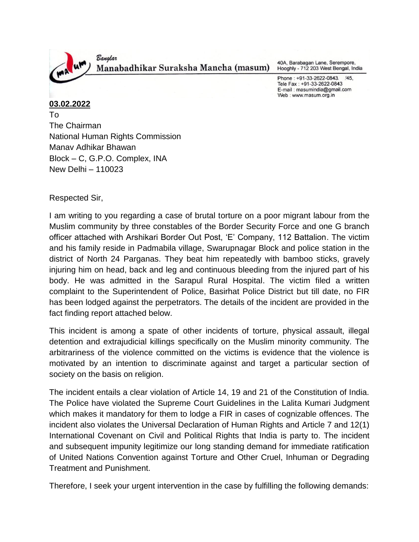

40A, Barabagan Lane, Serempore, Hooghly - 712 203 West Bengal, India

Phone: +91-33-2622-0843. /45, Tele Fax: +91-33-2622-0843 E-mail: masumindia@gmail.com Web: www.masum.org.in

## **03.02.2022**

To The Chairman National Human Rights Commission Manav Adhikar Bhawan Block – C, G.P.O. Complex, INA New Delhi – 110023

Respected Sir,

I am writing to you regarding a case of brutal torture on a poor migrant labour from the Muslim community by three constables of the Border Security Force and one G branch officer attached with Arshikari Border Out Post, 'E' Company, 112 Battalion. The victim and his family reside in Padmabila village, Swarupnagar Block and police station in the district of North 24 Parganas. They beat him repeatedly with bamboo sticks, gravely injuring him on head, back and leg and continuous bleeding from the injured part of his body. He was admitted in the Sarapul Rural Hospital. The victim filed a written complaint to the Superintendent of Police, Basirhat Police District but till date, no FIR has been lodged against the perpetrators. The details of the incident are provided in the fact finding report attached below.

This incident is among a spate of other incidents of torture, physical assault, illegal detention and extrajudicial killings specifically on the Muslim minority community. The arbitrariness of the violence committed on the victims is evidence that the violence is motivated by an intention to discriminate against and target a particular section of society on the basis on religion.

The incident entails a clear violation of Article 14, 19 and 21 of the Constitution of India. The Police have violated the Supreme Court Guidelines in the Lalita Kumari Judgment which makes it mandatory for them to lodge a FIR in cases of cognizable offences. The incident also violates the Universal Declaration of Human Rights and Article 7 and 12(1) International Covenant on Civil and Political Rights that India is party to. The incident and subsequent impunity legitimize our long standing demand for immediate ratification of United Nations Convention against Torture and Other Cruel, Inhuman or Degrading Treatment and Punishment.

Therefore, I seek your urgent intervention in the case by fulfilling the following demands: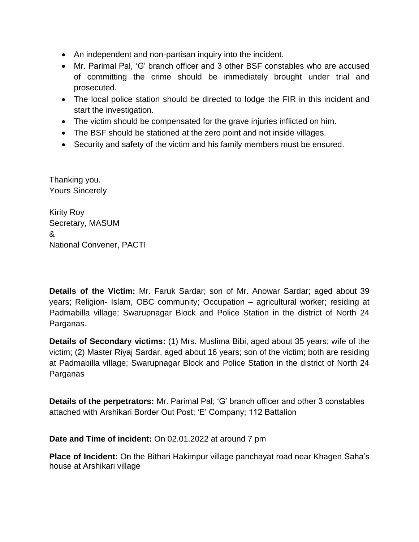- An independent and non-partisan inquiry into the incident.
- Mr. Parimal Pal, 'G' branch officer and 3 other BSF constables who are accused of committing the crime should be immediately brought under trial and prosecuted.
- The local police station should be directed to lodge the FIR in this incident and start the investigation.
- The victim should be compensated for the grave injuries inflicted on him.
- The BSF should be stationed at the zero point and not inside villages.
- Security and safety of the victim and his family members must be ensured.

Thanking you. Yours Sincerely

Kirity Roy Secretary, MASUM & National Convener, PACTI

**Details of the Victim:** Mr. Faruk Sardar; son of Mr. Anowar Sardar; aged about 39 years; Religion- Islam, OBC community; Occupation – agricultural worker; residing at Padmabilla village; Swarupnagar Block and Police Station in the district of North 24 Parganas.

**Details of Secondary victims:** (1) Mrs. Muslima Bibi, aged about 35 years; wife of the victim; (2) Master Riyaj Sardar, aged about 16 years; son of the victim; both are residing at Padmabilla village; Swarupnagar Block and Police Station in the district of North 24 Parganas

**Details of the perpetrators:** Mr. Parimal Pal; 'G' branch officer and other 3 constables attached with Arshikari Border Out Post; 'E' Company; 112 Battalion

**Date and Time of incident:** On 02.01.2022 at around 7 pm

**Place of Incident:** On the Bithari Hakimpur village panchayat road near Khagen Saha's house at Arshikari village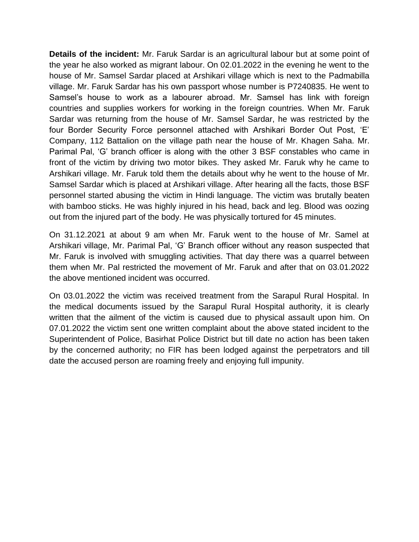**Details of the incident:** Mr. Faruk Sardar is an agricultural labour but at some point of the year he also worked as migrant labour. On 02.01.2022 in the evening he went to the house of Mr. Samsel Sardar placed at Arshikari village which is next to the Padmabilla village. Mr. Faruk Sardar has his own passport whose number is P7240835. He went to Samsel's house to work as a labourer abroad. Mr. Samsel has link with foreign countries and supplies workers for working in the foreign countries. When Mr. Faruk Sardar was returning from the house of Mr. Samsel Sardar, he was restricted by the four Border Security Force personnel attached with Arshikari Border Out Post, 'E' Company, 112 Battalion on the village path near the house of Mr. Khagen Saha. Mr. Parimal Pal, 'G' branch officer is along with the other 3 BSF constables who came in front of the victim by driving two motor bikes. They asked Mr. Faruk why he came to Arshikari village. Mr. Faruk told them the details about why he went to the house of Mr. Samsel Sardar which is placed at Arshikari village. After hearing all the facts, those BSF personnel started abusing the victim in Hindi language. The victim was brutally beaten with bamboo sticks. He was highly injured in his head, back and leg. Blood was oozing out from the injured part of the body. He was physically tortured for 45 minutes.

On 31.12.2021 at about 9 am when Mr. Faruk went to the house of Mr. Samel at Arshikari village, Mr. Parimal Pal, 'G' Branch officer without any reason suspected that Mr. Faruk is involved with smuggling activities. That day there was a quarrel between them when Mr. Pal restricted the movement of Mr. Faruk and after that on 03.01.2022 the above mentioned incident was occurred.

On 03.01.2022 the victim was received treatment from the Sarapul Rural Hospital. In the medical documents issued by the Sarapul Rural Hospital authority, it is clearly written that the ailment of the victim is caused due to physical assault upon him. On 07.01.2022 the victim sent one written complaint about the above stated incident to the Superintendent of Police, Basirhat Police District but till date no action has been taken by the concerned authority; no FIR has been lodged against the perpetrators and till date the accused person are roaming freely and enjoying full impunity.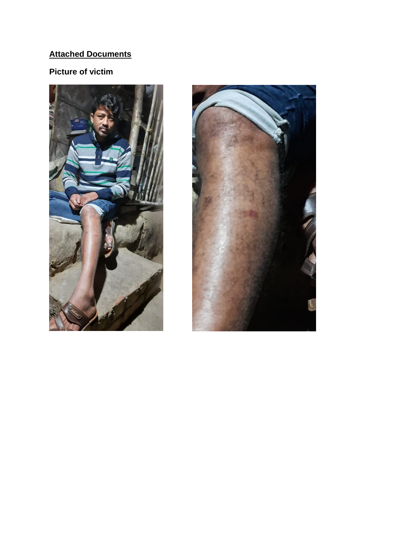## **Attached Documents**

## **Picture of victim**



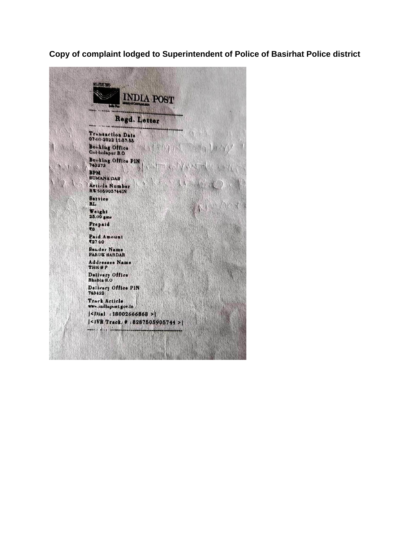**Copy of complaint lodged to Superintendent of Police of Basirhat Police district**

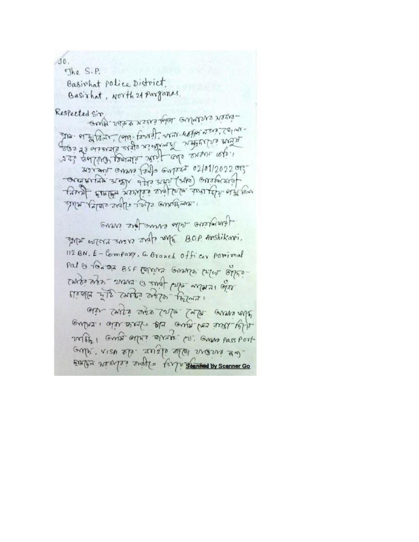$30.$ 

The S.P. Basirhat police District. Basirhat, North 21 Parganas. Respected Sir cesse and not lobe entered and val quliva pourtir surf culo survir refer 312 and ones jado enters 02/01/2022 or verth des resides and fore established four reversions elver elere essier relite providents did every give inough and wears and the one BOP Anshikari. 112 BN. E-Company, G. Branch officer porimal Pal is to happy BSF Compris Granges criter office-נפול ובומות שונין למוד בי בתמור בריה הלאבד पर कर्णाली - कर्मक कर्मक मिलाने aler cours aus sarte case avons relie illy true con aus de recente i coluno 2017 ond april 2002 (2). Grana pass port amos, visa ap anap apa visus an-

FIXIST NONTO: analyo fargu stanned by Scanner Go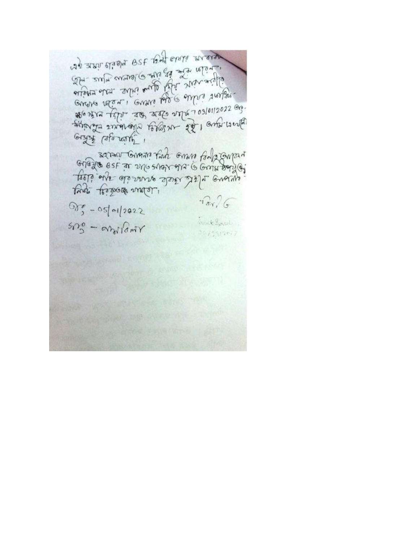was are elises of the wall and Alexa there I avais tale avere value arma Gunan And Gunan falle Coupar every else desarre state de app. ture tes mess.  $\widehat{1}_{\text{av}}/6$  $000 - 05 = 012022$  $520^\circ -$  and lamr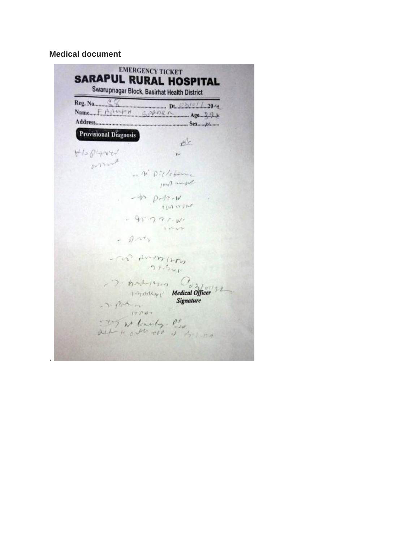**Medical document**

.

|                              | Reg. No. CO DE DE CONSUL 204  |
|------------------------------|-------------------------------|
|                              |                               |
| <b>Provisional Diagnosis</b> | $r^{1/2}$                     |
| HISPLANCU                    | $\sim$                        |
| warned                       |                               |
|                              | - n' Dictations               |
|                              | Infl import                   |
|                              | $-40$ potrol                  |
|                              | t ON W JAP                    |
|                              | $-91. J J C N$                |
|                              |                               |
| $-9.14$                      |                               |
|                              |                               |
|                              | - COP AMON (250)<br>$21 - 24$ |
|                              |                               |
|                              | D. Andrews Cofforte           |
|                              | Medical Officer               |
| - J. Para                    | Signature                     |
| 10200                        |                               |
|                              | Toy at loady. Pho             |
|                              | och i all ose is estima       |